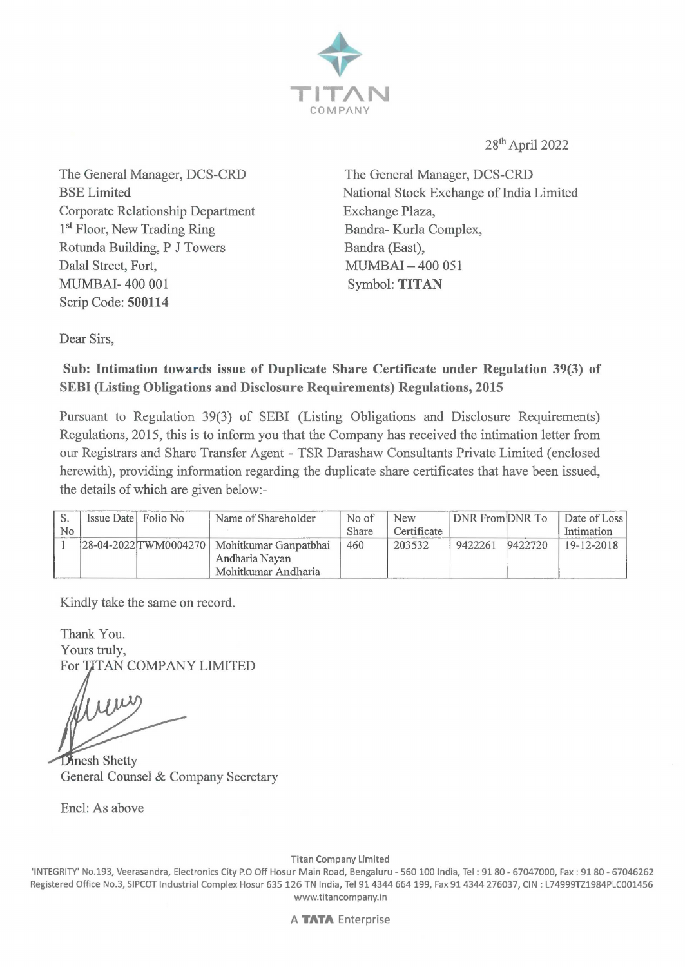

28th April 2022

The General Manager, DCS-CRD BSE Limited Corporate Relationship Department 1<sup>st</sup> Floor, New Trading Ring Rotunda Building, P J Towers Dalal Street, Fort, MUMBAI- 400 001 Scrip Code: **500114** 

The General Manager, DCS-CRD National Stock Exchange of India Limited Exchange Plaza, Bandra- Kurla Complex, Bandra (East), MUMBAI - 400 051 Symbol: **TITAN** 

Dear Sirs,

## **Sub: Intimation towards issue of Duplicate Share Certificate under Regulation 39(3) of SEBI (Listing Obligations and Disclosure Requirements) Regulations, 2015**

Pursuant to Regulation 39(3) of SEBI (Listing Obligations and Disclosure Requirements) Regulations, 2015, this is to inform you that the Company has received the intimation letter from our Registrars and Share Transfer Agent - TSR Darashaw Consultants Private Limited ( enclosed herewith), providing information regarding the duplicate share certificates that have been issued, the details of which are given below:-

|    | Issue Date Folio No | Name of Shareholder                                       | No of | New         | DNR From DNR To |         | Date of Loss |
|----|---------------------|-----------------------------------------------------------|-------|-------------|-----------------|---------|--------------|
| No |                     |                                                           | Share | Certificate |                 |         | Intimation   |
|    |                     | 28-04-2022 <sup>T</sup> WM0004270   Mohitkumar Ganpatbhai | 460   | 203532      | 9422261         | 9422720 | 19-12-2018   |
|    |                     | Andharia Navan                                            |       |             |                 |         |              |
|    |                     | Mohitkumar Andharia                                       |       |             |                 |         |              |

Kindly take the same on record.

Thank You. Yours truly, For TITAN COMPANY LIMITED

Dinesh Shetty General Counsel & Company Secretary

Encl: As above

Titan Company Limited

'INTEGRITY' No.193, Veerasandra, Electronics City P.O Off Hosur Main Road, Bengaluru - 560 100 India, Tel : 91 80 - 67047000, Fax : 91 80 - 67046262 Registered Office No.3, SIPCOT Industrial Complex Hosur 635 126 TN India, Tel 914344 664 199, Fax 914344 276037, CIN : L74999TZ1984PLC001456 www.titancompany.in